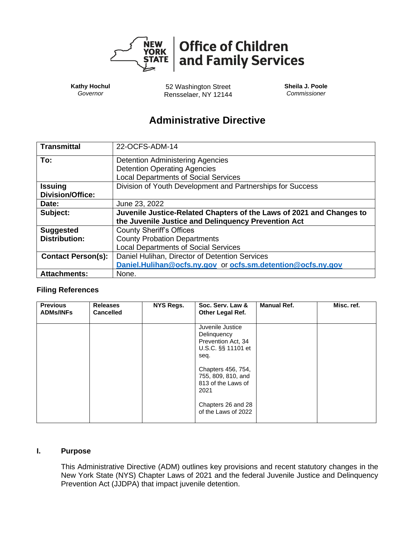

**Kathy Hochul** *Governor*

52 Washington Street Rensselaer, NY 12144 **Sheila J. Poole** *Commissioner*

# **Administrative Directive**

| <b>Transmittal</b>        | 22-OCFS-ADM-14                                                       |  |  |  |  |
|---------------------------|----------------------------------------------------------------------|--|--|--|--|
| To:                       | <b>Detention Administering Agencies</b>                              |  |  |  |  |
|                           | <b>Detention Operating Agencies</b>                                  |  |  |  |  |
|                           | <b>Local Departments of Social Services</b>                          |  |  |  |  |
| <b>Issuing</b>            | Division of Youth Development and Partnerships for Success           |  |  |  |  |
| <b>Division/Office:</b>   |                                                                      |  |  |  |  |
| Date:                     | June 23, 2022                                                        |  |  |  |  |
| Subject:                  | Juvenile Justice-Related Chapters of the Laws of 2021 and Changes to |  |  |  |  |
|                           | the Juvenile Justice and Delinquency Prevention Act                  |  |  |  |  |
| <b>Suggested</b>          | <b>County Sheriff's Offices</b>                                      |  |  |  |  |
| <b>Distribution:</b>      | <b>County Probation Departments</b>                                  |  |  |  |  |
|                           | <b>Local Departments of Social Services</b>                          |  |  |  |  |
| <b>Contact Person(s):</b> | Daniel Hulihan, Director of Detention Services                       |  |  |  |  |
|                           | Daniel.Hulihan@ocfs.ny.gov or ocfs.sm.detention@ocfs.ny.gov          |  |  |  |  |
| <b>Attachments:</b>       | None.                                                                |  |  |  |  |

## **Filing References**

| <b>Previous</b><br><b>ADMs/INFs</b> | <b>Releases</b><br><b>Cancelled</b> | <b>NYS Regs.</b> | Soc. Serv. Law &<br>Other Legal Ref.                                                                                                                                                                       | <b>Manual Ref.</b> | Misc. ref. |
|-------------------------------------|-------------------------------------|------------------|------------------------------------------------------------------------------------------------------------------------------------------------------------------------------------------------------------|--------------------|------------|
|                                     |                                     |                  | Juvenile Justice<br>Delinquency<br>Prevention Act, 34<br>U.S.C. §§ 11101 et<br>seq.<br>Chapters 456, 754,<br>755, 809, 810, and<br>813 of the Laws of<br>2021<br>Chapters 26 and 28<br>of the Laws of 2022 |                    |            |

## **I. Purpose**

This Administrative Directive (ADM) outlines key provisions and recent statutory changes in the New York State (NYS) Chapter Laws of 2021 and the federal Juvenile Justice and Delinquency Prevention Act (JJDPA) that impact juvenile detention.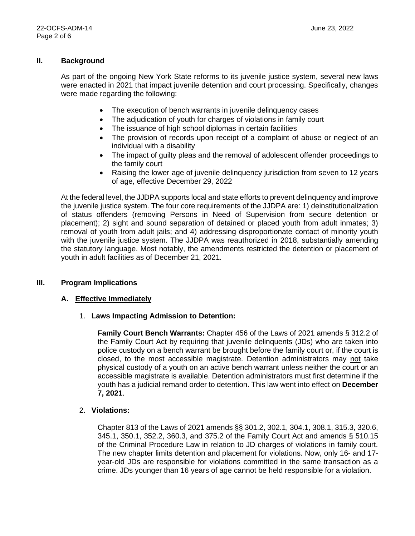### **II. Background**

As part of the ongoing New York State reforms to its juvenile justice system, several new laws were enacted in 2021 that impact juvenile detention and court processing. Specifically, changes were made regarding the following:

- The execution of bench warrants in juvenile delinguency cases
- The adjudication of youth for charges of violations in family court
- The issuance of high school diplomas in certain facilities
- The provision of records upon receipt of a complaint of abuse or neglect of an individual with a disability
- The impact of guilty pleas and the removal of adolescent offender proceedings to the family court
- Raising the lower age of juvenile delinquency jurisdiction from seven to 12 years of age, effective December 29, 2022

At the federal level, the JJDPA supports local and state efforts to prevent delinquency and improve the juvenile justice system. The four core requirements of the JJDPA are: 1) deinstitutionalization of status offenders (removing Persons in Need of Supervision from secure detention or placement); 2) sight and sound separation of detained or placed youth from adult inmates; 3) removal of youth from adult jails; and 4) addressing disproportionate contact of minority youth with the juvenile justice system. The JJDPA was reauthorized in 2018, substantially amending the statutory language. Most notably, the amendments restricted the detention or placement of youth in adult facilities as of December 21, 2021.

#### **III. Program Implications**

#### **A. Effective Immediately**

#### 1. **Laws Impacting Admission to Detention:**

**Family Court Bench Warrants:** Chapter 456 of the Laws of 2021 amends § 312.2 of the Family Court Act by requiring that juvenile delinquents (JDs) who are taken into police custody on a bench warrant be brought before the family court or, if the court is closed, to the most accessible magistrate. Detention administrators may not take physical custody of a youth on an active bench warrant unless neither the court or an accessible magistrate is available. Detention administrators must first determine if the youth has a judicial remand order to detention. This law went into effect on **December 7, 2021**.

#### 2. **Violations:**

Chapter 813 of the Laws of 2021 amends §§ 301.2, 302.1, 304.1, 308.1, 315.3, 320.6, 345.1, 350.1, 352.2, 360.3, and 375.2 of the Family Court Act and amends § 510.15 of the Criminal Procedure Law in relation to JD charges of violations in family court. The new chapter limits detention and placement for violations. Now, only 16- and 17 year-old JDs are responsible for violations committed in the same transaction as a crime. JDs younger than 16 years of age cannot be held responsible for a violation.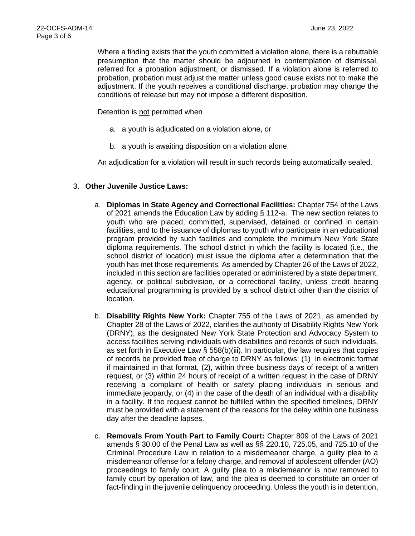Where a finding exists that the youth committed a violation alone, there is a rebuttable presumption that the matter should be adjourned in contemplation of dismissal, referred for a probation adjustment, or dismissed. If a violation alone is referred to probation, probation must adjust the matter unless good cause exists not to make the adjustment. If the youth receives a conditional discharge, probation may change the conditions of release but may not impose a different disposition.

Detention is not permitted when

- a. a youth is adjudicated on a violation alone, or
- b. a youth is awaiting disposition on a violation alone.

An adjudication for a violation will result in such records being automatically sealed.

## 3. **Other Juvenile Justice Laws:**

- a. **Diplomas in State Agency and Correctional Facilities:** Chapter 754 of the Laws of 2021 amends the Education Law by adding § 112-a. The new section relates to youth who are placed, committed, supervised, detained or confined in certain facilities, and to the issuance of diplomas to youth who participate in an educational program provided by such facilities and complete the minimum New York State diploma requirements. The school district in which the facility is located (i.e., the school district of location) must issue the diploma after a determination that the youth has met those requirements. As amended by Chapter 26 of the Laws of 2022, included in this section are facilities operated or administered by a state department, agency, or political subdivision, or a correctional facility, unless credit bearing educational programming is provided by a school district other than the district of location.
- b. **Disability Rights New York:** Chapter 755 of the Laws of 2021, as amended by Chapter 28 of the Laws of 2022, clarifies the authority of Disability Rights New York (DRNY), as the designated New York State Protection and Advocacy System to access facilities serving individuals with disabilities and records of such individuals, as set forth in Executive Law  $\S$  558(b)(iii). In particular, the law requires that copies of records be provided free of charge to DRNY as follows: (1) in electronic format if maintained in that format, (2), within three business days of receipt of a written request, or (3) within 24 hours of receipt of a written request in the case of DRNY receiving a complaint of health or safety placing individuals in serious and immediate jeopardy, or (4) in the case of the death of an individual with a disability in a facility. If the request cannot be fulfilled within the specified timelines, DRNY must be provided with a statement of the reasons for the delay within one business day after the deadline lapses.
- c. **Removals From Youth Part to Family Court:** Chapter 809 of the Laws of 2021 amends § 30.00 of the Penal Law as well as §§ 220.10, 725.05, and 725.10 of the Criminal Procedure Law in relation to a misdemeanor charge, a guilty plea to a misdemeanor offense for a felony charge, and removal of adolescent offender (AO) proceedings to family court. A guilty plea to a misdemeanor is now removed to family court by operation of law, and the plea is deemed to constitute an order of fact-finding in the juvenile delinquency proceeding. Unless the youth is in detention,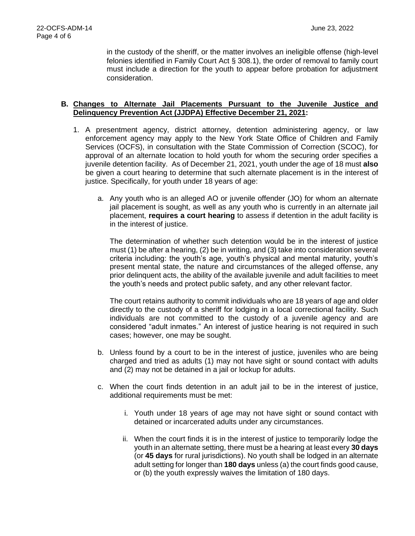in the custody of the sheriff, or the matter involves an ineligible offense (high-level felonies identified in Family Court Act § 308.1), the order of removal to family court must include a direction for the youth to appear before probation for adjustment consideration.

#### **B. Changes to Alternate Jail Placements Pursuant to the Juvenile Justice and Delinquency Prevention Act (JJDPA) Effective December 21, 2021:**

- 1. A presentment agency, district attorney, detention administering agency, or law enforcement agency may apply to the New York State Office of Children and Family Services (OCFS), in consultation with the State Commission of Correction (SCOC), for approval of an alternate location to hold youth for whom the securing order specifies a juvenile detention facility. As of December 21, 2021, youth under the age of 18 must **also** be given a court hearing to determine that such alternate placement is in the interest of justice. Specifically, for youth under 18 years of age:
	- a. Any youth who is an alleged AO or juvenile offender (JO) for whom an alternate jail placement is sought, as well as any youth who is currently in an alternate jail placement, **requires a court hearing** to assess if detention in the adult facility is in the interest of justice.

The determination of whether such detention would be in the interest of justice must (1) be after a hearing, (2) be in writing, and (3) take into consideration several criteria including: the youth's age, youth's physical and mental maturity, youth's present mental state, the nature and circumstances of the alleged offense, any prior delinquent acts, the ability of the available juvenile and adult facilities to meet the youth's needs and protect public safety, and any other relevant factor.

The court retains authority to commit individuals who are 18 years of age and older directly to the custody of a sheriff for lodging in a local correctional facility. Such individuals are not committed to the custody of a juvenile agency and are considered "adult inmates." An interest of justice hearing is not required in such cases; however, one may be sought.

- b. Unless found by a court to be in the interest of justice, juveniles who are being charged and tried as adults (1) may not have sight or sound contact with adults and (2) may not be detained in a jail or lockup for adults.
- c. When the court finds detention in an adult jail to be in the interest of justice, additional requirements must be met:
	- i. Youth under 18 years of age may not have sight or sound contact with detained or incarcerated adults under any circumstances.
	- ii. When the court finds it is in the interest of justice to temporarily lodge the youth in an alternate setting, there must be a hearing at least every **30 days** (or **45 days** for rural jurisdictions). No youth shall be lodged in an alternate adult setting for longer than **180 days** unless (a) the court finds good cause, or (b) the youth expressly waives the limitation of 180 days.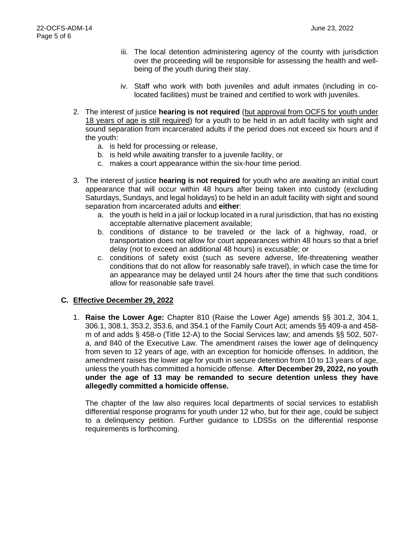- iii. The local detention administering agency of the county with jurisdiction over the proceeding will be responsible for assessing the health and wellbeing of the youth during their stay.
- iv. Staff who work with both juveniles and adult inmates (including in colocated facilities) must be trained and certified to work with juveniles.
- 2. The interest of justice **hearing is not required** (but approval from OCFS for youth under 18 years of age is still required) for a youth to be held in an adult facility with sight and sound separation from incarcerated adults if the period does not exceed six hours and if the youth:
	- a. is held for processing or release,
	- b. is held while awaiting transfer to a juvenile facility, or
	- c. makes a court appearance within the six-hour time period.
- 3. The interest of justice **hearing is not required** for youth who are awaiting an initial court appearance that will occur within 48 hours after being taken into custody (excluding Saturdays, Sundays, and legal holidays) to be held in an adult facility with sight and sound separation from incarcerated adults and **either**:
	- a. the youth is held in a jail or lockup located in a rural jurisdiction, that has no existing acceptable alternative placement available;
	- b. conditions of distance to be traveled or the lack of a highway, road, or transportation does not allow for court appearances within 48 hours so that a brief delay (not to exceed an additional 48 hours) is excusable; or
	- c. conditions of safety exist (such as severe adverse, life-threatening weather conditions that do not allow for reasonably safe travel), in which case the time for an appearance may be delayed until 24 hours after the time that such conditions allow for reasonable safe travel.

## **C. Effective December 29, 2022**

1. **Raise the Lower Age:** Chapter 810 (Raise the Lower Age) amends §§ 301.2, 304.1, 306.1, 308.1, 353.2, 353.6, and 354.1 of the Family Court Act; amends §§ 409-a and 458 m of and adds § 458-o (Title 12-A) to the Social Services law; and amends §§ 502, 507 a, and 840 of the Executive Law. The amendment raises the lower age of delinquency from seven to 12 years of age, with an exception for homicide offenses. In addition, the amendment raises the lower age for youth in secure detention from 10 to 13 years of age, unless the youth has committed a homicide offense. **After December 29, 2022, no youth under the age of 13 may be remanded to secure detention unless they have allegedly committed a homicide offense.**

The chapter of the law also requires local departments of social services to establish differential response programs for youth under 12 who, but for their age, could be subject to a delinquency petition. Further guidance to LDSSs on the differential response requirements is forthcoming.